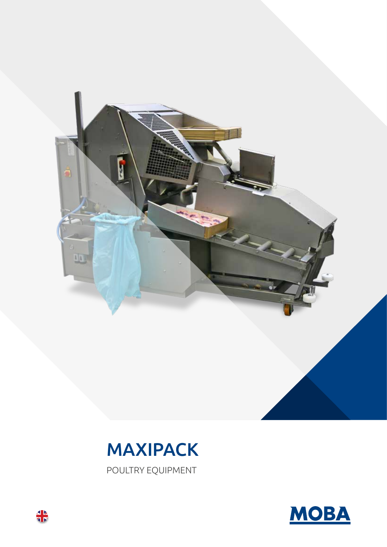



POULTRY EQUIPMENT



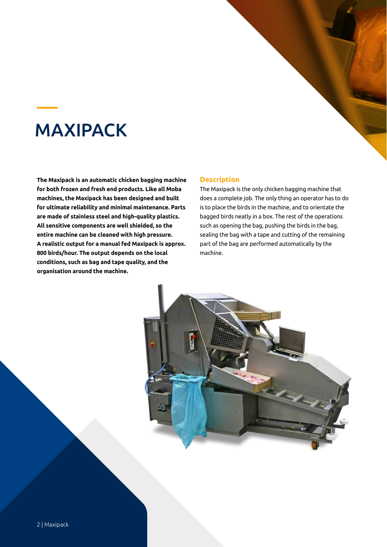## MAXIPACK

**The Maxipack is an automatic chicken bagging machine for both frozen and fresh end products. Like all Moba machines, the Maxipack has been designed and built for ultimate reliability and minimal maintenance. Parts are made of stainless steel and high-quality plastics. All sensitive components are well shielded, so the entire machine can be cleaned with high pressure. A realistic output for a manual fed Maxipack is approx. 800 birds/hour. The output depends on the local conditions, such as bag and tape quality, and the organisation around the machine.**

## **Description**

The Maxipack is the only chicken bagging machine that does a complete job. The only thing an operator has to do is to place the birds in the machine, and to orientate the bagged birds neatly in a box. The rest of the operations such as opening the bag, pushing the birds in the bag, sealing the bag with a tape and cutting of the remaining part of the bag are performed automatically by the machine.

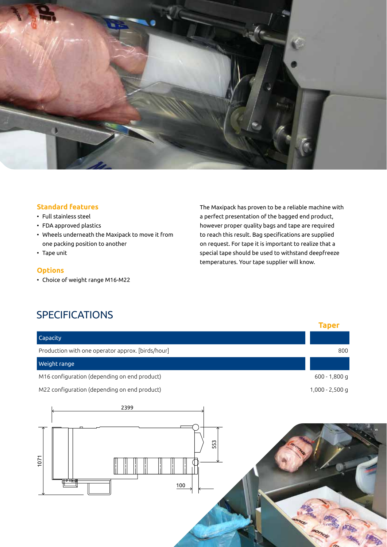

## **Standard features**

- Full stainless steel
- FDA approved plastics
- Wheels underneath the Maxipack to move it from one packing position to another
- Tape unit

### **Options**

• Choice of weight range M16-M22

The Maxipack has proven to be a reliable machine with a perfect presentation of the bagged end product, however proper quality bags and tape are required to reach this result. Bag specifications are supplied on request. For tape it is important to realize that a special tape should be used to withstand deepfreeze temperatures. Your tape supplier will know.

**Taper**

## SPECIFICATIONS

| Capacity                                          |                 |
|---------------------------------------------------|-----------------|
| Production with one operator approx. [birds/hour] | 800             |
| Weight range                                      |                 |
| M16 configuration (depending on end product)      | 600 - 1,800 g   |
| M22 configuration (depending on end product)      | 1,000 - 2,500 g |
| 2399<br>553<br>1071<br>100                        |                 |